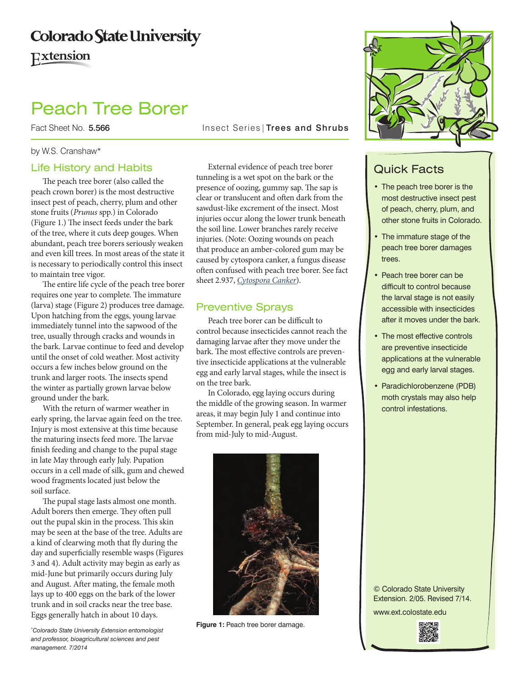# **Colorado State University** Extension

# Peach Tree Borer

Fact Sheet No. 5.566 Insect Series | Trees and Shrubs

#### by W.S. Cranshaw\*

#### Life History and Habits

The peach tree borer (also called the peach crown borer) is the most destructive insect pest of peach, cherry, plum and other stone fruits (*Prunus* spp.) in Colorado (Figure 1.) The insect feeds under the bark of the tree, where it cuts deep gouges. When abundant, peach tree borers seriously weaken and even kill trees. In most areas of the state it is necessary to periodically control this insect to maintain tree vigor.

The entire life cycle of the peach tree borer requires one year to complete. The immature (larva) stage (Figure 2) produces tree damage. Upon hatching from the eggs, young larvae immediately tunnel into the sapwood of the tree, usually through cracks and wounds in the bark. Larvae continue to feed and develop until the onset of cold weather. Most activity occurs a few inches below ground on the trunk and larger roots. The insects spend the winter as partially grown larvae below ground under the bark.

With the return of warmer weather in early spring, the larvae again feed on the tree. Injury is most extensive at this time because the maturing insects feed more. The larvae finish feeding and change to the pupal stage in late May through early July. Pupation occurs in a cell made of silk, gum and chewed wood fragments located just below the soil surface.

The pupal stage lasts almost one month. Adult borers then emerge. They often pull out the pupal skin in the process. This skin may be seen at the base of the tree. Adults are a kind of clearwing moth that fly during the day and superficially resemble wasps (Figures 3 and 4). Adult activity may begin as early as mid-June but primarily occurs during July and August. After mating, the female moth lays up to 400 eggs on the bark of the lower trunk and in soil cracks near the tree base. Eggs generally hatch in about 10 days.

*\* Colorado State University Extension entomologist and professor, bioagricultural sciences and pest management. 7/2014*

External evidence of peach tree borer tunneling is a wet spot on the bark or the presence of oozing, gummy sap. The sap is clear or translucent and often dark from the sawdust-like excrement of the insect. Most injuries occur along the lower trunk beneath the soil line. Lower branches rarely receive injuries. (Note: Oozing wounds on peach that produce an amber-colored gum may be caused by cytospora canker, a fungus disease often confused with peach tree borer. See fact sheet 2.937, *[Cytospora Canker](http://www.ext.colostate.edu/PUBS/garden/02937.html)*).

### Preventive Sprays

Peach tree borer can be difficult to control because insecticides cannot reach the damaging larvae after they move under the bark. The most effective controls are preventive insecticide applications at the vulnerable egg and early larval stages, while the insect is on the tree bark.

In Colorado, egg laying occurs during the middle of the growing season. In warmer areas, it may begin July 1 and continue into September. In general, peak egg laying occurs from mid-July to mid-August.



**Figure 1:** Peach tree borer damage.



## Quick Facts

- The peach tree borer is the most destructive insect pest of peach, cherry, plum, and other stone fruits in Colorado.
- The immature stage of the peach tree borer damages trees.
- Peach tree borer can be difficult to control because the larval stage is not easily accessible with insecticides after it moves under the bark.
- The most effective controls are preventive insecticide applications at the vulnerable egg and early larval stages.
- • Paradichlorobenzene (PDB) moth crystals may also help control infestations.

© Colorado State University Extension. 2/05. Revised 7/14. www.ext.colostate.edu